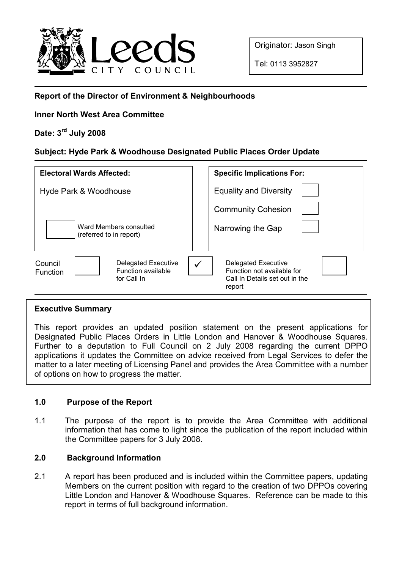

Originator: Jason Singh

Tel: 0113 3952827

## Report of the Director of Environment & Neighbourhoods

## Inner North West Area Committee

# Date: 3rd July 2008

## Subject: Hyde Park & Woodhouse Designated Public Places Order Update

| <b>Electoral Wards Affected:</b>                                                       | <b>Specific Implications For:</b>                                                                         |
|----------------------------------------------------------------------------------------|-----------------------------------------------------------------------------------------------------------|
| Hyde Park & Woodhouse                                                                  | <b>Equality and Diversity</b>                                                                             |
|                                                                                        | <b>Community Cohesion</b>                                                                                 |
| Ward Members consulted<br>(referred to in report)                                      | Narrowing the Gap                                                                                         |
| Council<br>Delegated Executive<br>Function available<br><b>Function</b><br>for Call In | <b>Delegated Executive</b><br>✓<br>Function not available for<br>Call In Details set out in the<br>report |

## Executive Summary

This report provides an updated position statement on the present applications for Designated Public Places Orders in Little London and Hanover & Woodhouse Squares. Further to a deputation to Full Council on 2 July 2008 regarding the current DPPO applications it updates the Committee on advice received from Legal Services to defer the matter to a later meeting of Licensing Panel and provides the Area Committee with a number of options on how to progress the matter.

## 1.0 Purpose of the Report

1.1 The purpose of the report is to provide the Area Committee with additional information that has come to light since the publication of the report included within the Committee papers for 3 July 2008.

## 2.0 Background Information

2.1 A report has been produced and is included within the Committee papers, updating Members on the current position with regard to the creation of two DPPOs covering Little London and Hanover & Woodhouse Squares. Reference can be made to this report in terms of full background information.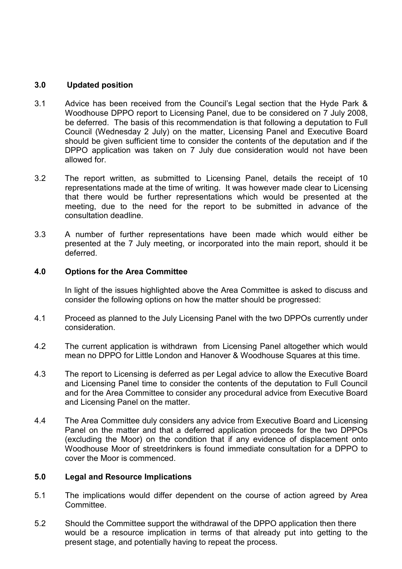#### 3.0 Updated position

- 3.1 Advice has been received from the Council's Legal section that the Hyde Park & Woodhouse DPPO report to Licensing Panel, due to be considered on 7 July 2008, be deferred. The basis of this recommendation is that following a deputation to Full Council (Wednesday 2 July) on the matter, Licensing Panel and Executive Board should be given sufficient time to consider the contents of the deputation and if the DPPO application was taken on 7 July due consideration would not have been allowed for.
- 3.2 The report written, as submitted to Licensing Panel, details the receipt of 10 representations made at the time of writing. It was however made clear to Licensing that there would be further representations which would be presented at the meeting, due to the need for the report to be submitted in advance of the consultation deadline.
- 3.3 A number of further representations have been made which would either be presented at the 7 July meeting, or incorporated into the main report, should it be deferred.

#### 4.0 Options for the Area Committee

In light of the issues highlighted above the Area Committee is asked to discuss and consider the following options on how the matter should be progressed:

- 4.1 Proceed as planned to the July Licensing Panel with the two DPPOs currently under consideration.
- 4.2 The current application is withdrawn from Licensing Panel altogether which would mean no DPPO for Little London and Hanover & Woodhouse Squares at this time.
- 4.3 The report to Licensing is deferred as per Legal advice to allow the Executive Board and Licensing Panel time to consider the contents of the deputation to Full Council and for the Area Committee to consider any procedural advice from Executive Board and Licensing Panel on the matter.
- 4.4 The Area Committee duly considers any advice from Executive Board and Licensing Panel on the matter and that a deferred application proceeds for the two DPPOs (excluding the Moor) on the condition that if any evidence of displacement onto Woodhouse Moor of streetdrinkers is found immediate consultation for a DPPO to cover the Moor is commenced.

#### 5.0 Legal and Resource Implications

- 5.1 The implications would differ dependent on the course of action agreed by Area Committee.
- 5.2 Should the Committee support the withdrawal of the DPPO application then there would be a resource implication in terms of that already put into getting to the present stage, and potentially having to repeat the process.